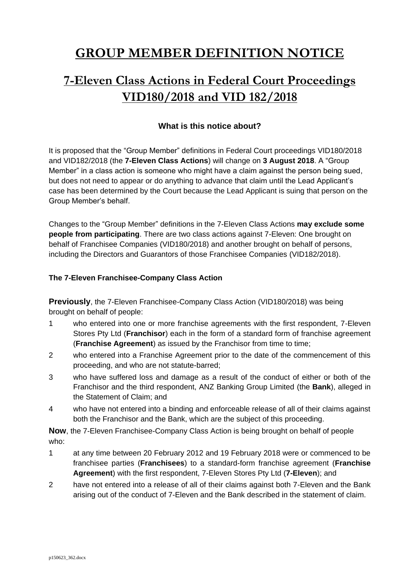# **GROUP MEMBER DEFINITION NOTICE**

# **7-Eleven Class Actions in Federal Court Proceedings VID180/2018 and VID 182/2018**

## **What is this notice about?**

It is proposed that the "Group Member" definitions in Federal Court proceedings VID180/2018 and VID182/2018 (the **7-Eleven Class Actions**) will change on **3 August 2018**. A "Group Member" in a class action is someone who might have a claim against the person being sued, but does not need to appear or do anything to advance that claim until the Lead Applicant's case has been determined by the Court because the Lead Applicant is suing that person on the Group Member's behalf.

Changes to the "Group Member" definitions in the 7-Eleven Class Actions **may exclude some people from participating**. There are two class actions against 7-Eleven: One brought on behalf of Franchisee Companies (VID180/2018) and another brought on behalf of persons, including the Directors and Guarantors of those Franchisee Companies (VID182/2018).

#### **The 7-Eleven Franchisee-Company Class Action**

**Previously**, the 7-Eleven Franchisee-Company Class Action (VID180/2018) was being brought on behalf of people:

- 1 who entered into one or more franchise agreements with the first respondent, 7-Eleven Stores Pty Ltd (**Franchisor**) each in the form of a standard form of franchise agreement (**Franchise Agreement**) as issued by the Franchisor from time to time;
- 2 who entered into a Franchise Agreement prior to the date of the commencement of this proceeding, and who are not statute-barred;
- 3 who have suffered loss and damage as a result of the conduct of either or both of the Franchisor and the third respondent, ANZ Banking Group Limited (the **Bank**), alleged in the Statement of Claim; and
- 4 who have not entered into a binding and enforceable release of all of their claims against both the Franchisor and the Bank, which are the subject of this proceeding.

**Now**, the 7-Eleven Franchisee-Company Class Action is being brought on behalf of people who:

- 1 at any time between 20 February 2012 and 19 February 2018 were or commenced to be franchisee parties (**Franchisees**) to a standard-form franchise agreement (**Franchise Agreement**) with the first respondent, 7-Eleven Stores Pty Ltd (**7-Eleven**); and
- 2 have not entered into a release of all of their claims against both 7-Eleven and the Bank arising out of the conduct of 7-Eleven and the Bank described in the statement of claim.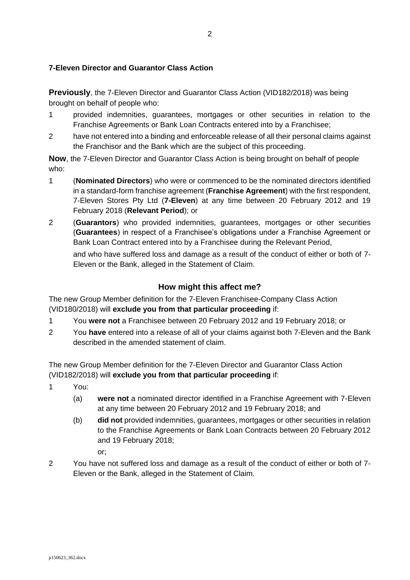### **7-Eleven Director and Guarantor Class Action**

**Previously**, the 7-Eleven Director and Guarantor Class Action (VID182/2018) was being brought on behalf of people who:

- 1 provided indemnities, guarantees, mortgages or other securities in relation to the Franchise Agreements or Bank Loan Contracts entered into by a Franchisee;
- 2 have not entered into a binding and enforceable release of all their personal claims against the Franchisor and the Bank which are the subject of this proceeding.

**Now**, the 7-Eleven Director and Guarantor Class Action is being brought on behalf of people who:

- 1 (**Nominated Directors**) who were or commenced to be the nominated directors identified in a standard-form franchise agreement (**Franchise Agreement**) with the first respondent, 7-Eleven Stores Pty Ltd (**7-Eleven**) at any time between 20 February 2012 and 19 February 2018 (**Relevant Period**); or
- 2 (**Guarantors**) who provided indemnities, guarantees, mortgages or other securities (**Guarantees**) in respect of a Franchisee's obligations under a Franchise Agreement or Bank Loan Contract entered into by a Franchisee during the Relevant Period, and who have suffered loss and damage as a result of the conduct of either or both of 7- Eleven or the Bank, alleged in the Statement of Claim.

## **How might this affect me?**

The new Group Member definition for the 7-Eleven Franchisee-Company Class Action (VID180/2018) will **exclude you from that particular proceeding** if:

- 1 You **were not** a Franchisee between 20 February 2012 and 19 February 2018; or
- 2 You **have** entered into a release of all of your claims against both 7-Eleven and the Bank described in the amended statement of claim.

The new Group Member definition for the 7-Eleven Director and Guarantor Class Action (VID182/2018) will **exclude you from that particular proceeding** if:

- 1 You:
	- (a) **were not** a nominated director identified in a Franchise Agreement with 7-Eleven at any time between 20 February 2012 and 19 February 2018; and
	- (b) **did not** provided indemnities, guarantees, mortgages or other securities in relation to the Franchise Agreements or Bank Loan Contracts between 20 February 2012 and 19 February 2018;

or;

2 You have not suffered loss and damage as a result of the conduct of either or both of 7- Eleven or the Bank, alleged in the Statement of Claim.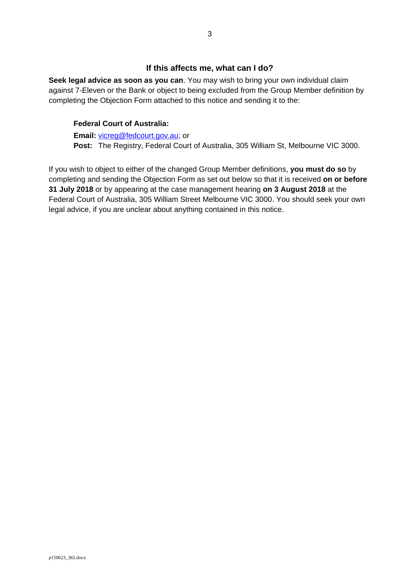#### **If this affects me, what can I do?**

**Seek legal advice as soon as you can**. You may wish to bring your own individual claim against 7-Eleven or the Bank or object to being excluded from the Group Member definition by completing the Objection Form attached to this notice and sending it to the:

#### **Federal Court of Australia:**

**Email:** [vicreg@fedcourt.gov.au;](mailto:vicreg@fedcourt.gov.au) or **Post:** The Registry, Federal Court of Australia, 305 William St, Melbourne VIC 3000.

If you wish to object to either of the changed Group Member definitions, **you must do so** by completing and sending the Objection Form as set out below so that it is received **on or before 31 July 2018** or by appearing at the case management hearing **on 3 August 2018** at the Federal Court of Australia, 305 William Street Melbourne VIC 3000. You should seek your own legal advice, if you are unclear about anything contained in this notice.